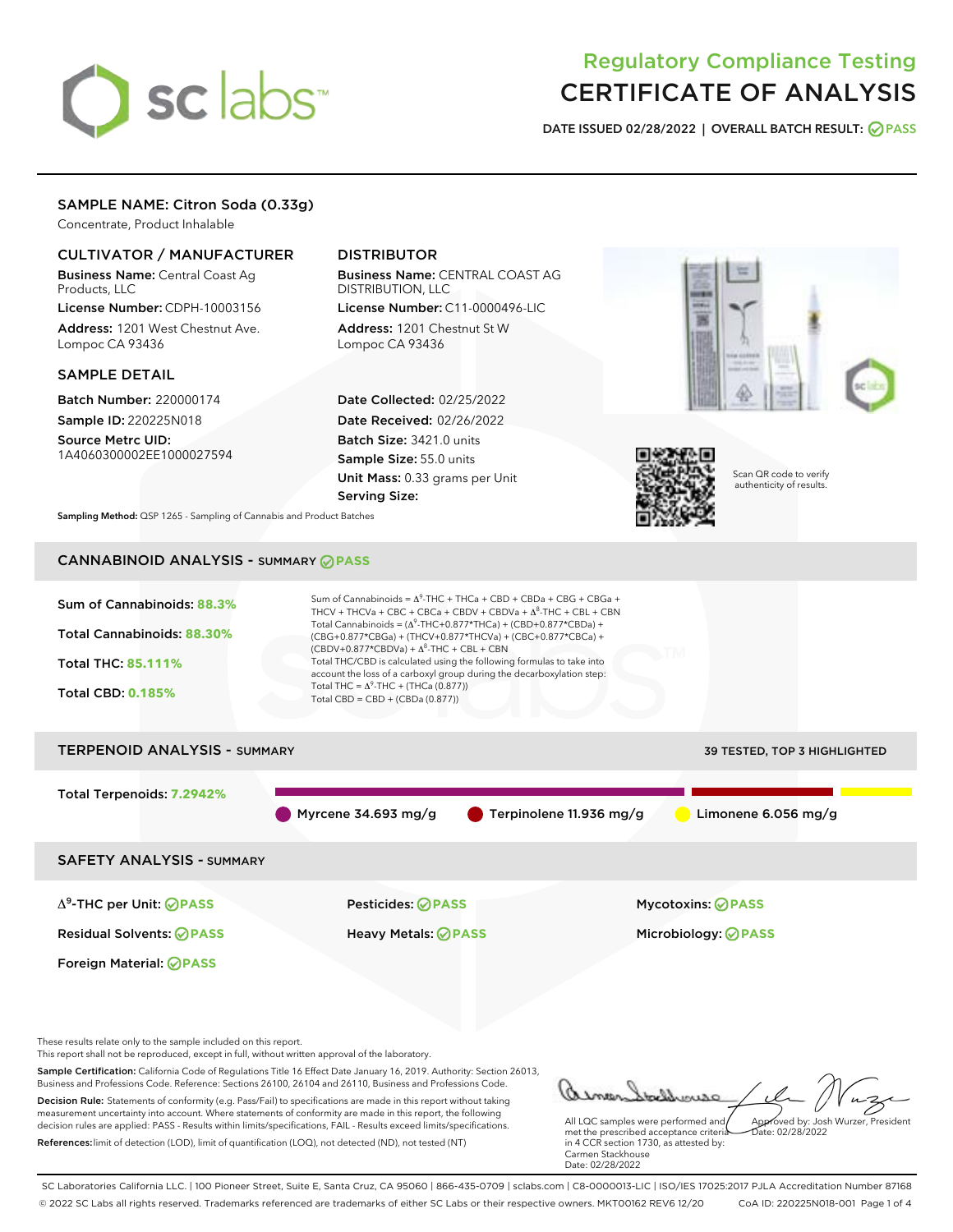# sclabs

# Regulatory Compliance Testing CERTIFICATE OF ANALYSIS

DATE ISSUED 02/28/2022 | OVERALL BATCH RESULT: @ PASS

# SAMPLE NAME: Citron Soda (0.33g)

Concentrate, Product Inhalable

# CULTIVATOR / MANUFACTURER

Business Name: Central Coast Ag Products, LLC

License Number: CDPH-10003156 Address: 1201 West Chestnut Ave. Lompoc CA 93436

#### SAMPLE DETAIL

Batch Number: 220000174 Sample ID: 220225N018

Source Metrc UID: 1A4060300002EE1000027594

# DISTRIBUTOR

Business Name: CENTRAL COAST AG DISTRIBUTION, LLC

License Number: C11-0000496-LIC Address: 1201 Chestnut St W Lompoc CA 93436

Date Collected: 02/25/2022 Date Received: 02/26/2022 Batch Size: 3421.0 units Sample Size: 55.0 units Unit Mass: 0.33 grams per Unit Serving Size:





Scan QR code to verify authenticity of results.

Sampling Method: QSP 1265 - Sampling of Cannabis and Product Batches

# CANNABINOID ANALYSIS - SUMMARY **PASS**



References:limit of detection (LOD), limit of quantification (LOQ), not detected (ND), not tested (NT)

met the prescribed acceptance criteria in 4 CCR section 1730, as attested by: Carmen Stackhouse Date: 02/28/2022

SC Laboratories California LLC. | 100 Pioneer Street, Suite E, Santa Cruz, CA 95060 | 866-435-0709 | sclabs.com | C8-0000013-LIC | ISO/IES 17025:2017 PJLA Accreditation Number 87168 © 2022 SC Labs all rights reserved. Trademarks referenced are trademarks of either SC Labs or their respective owners. MKT00162 REV6 12/20 CoA ID: 220225N018-001 Page 1 of 4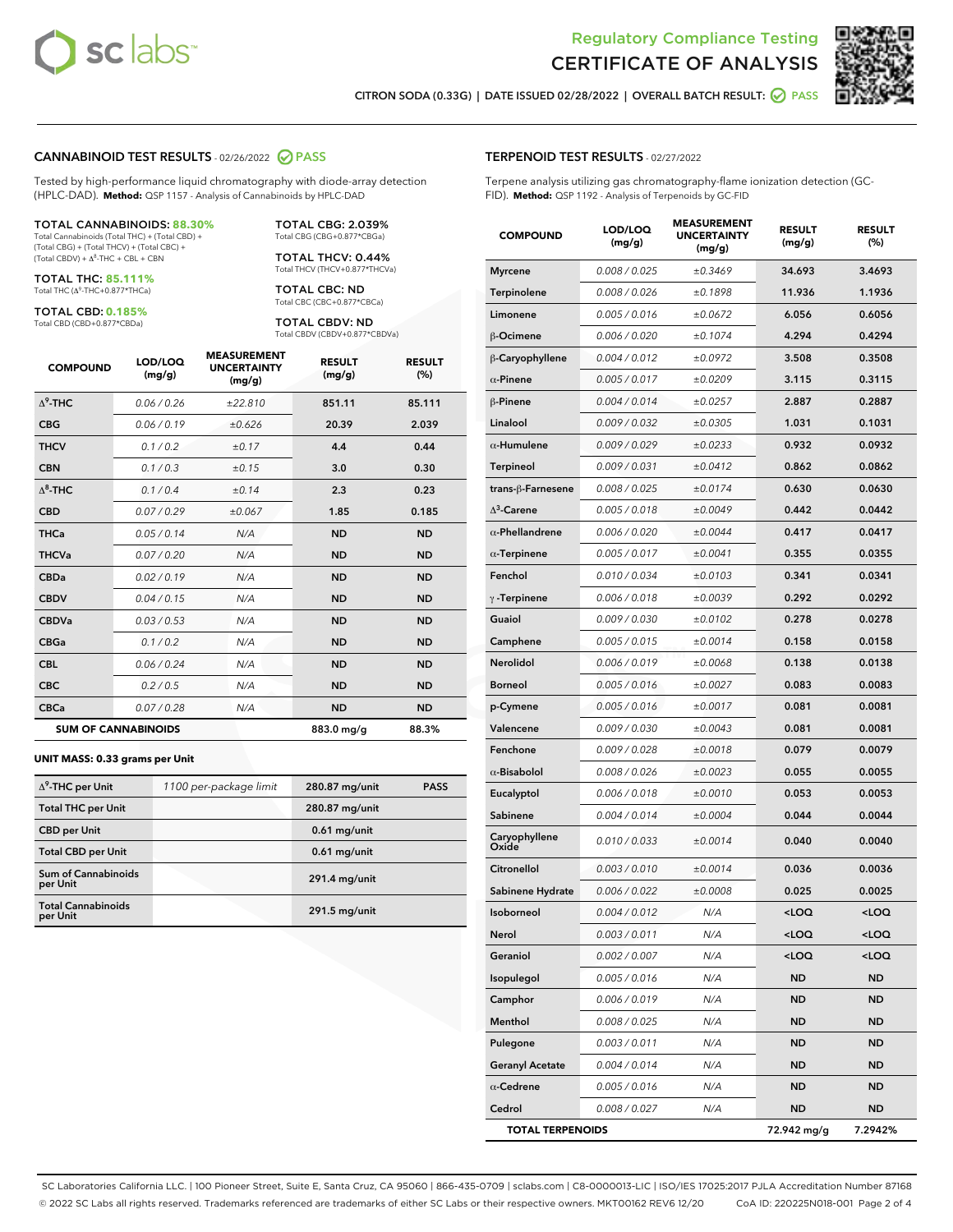



CITRON SODA (0.33G) | DATE ISSUED 02/28/2022 | OVERALL BATCH RESULT: 2 PASS

# CANNABINOID TEST RESULTS - 02/26/2022 PASS

Tested by high-performance liquid chromatography with diode-array detection (HPLC-DAD). **Method:** QSP 1157 - Analysis of Cannabinoids by HPLC-DAD

#### TOTAL CANNABINOIDS: **88.30%**

Total Cannabinoids (Total THC) + (Total CBD) + (Total CBG) + (Total THCV) + (Total CBC) +  $(Total CBDV) +  $\Delta^8$ -THC + CBL + CBN$ 

TOTAL THC: **85.111%** Total THC (Δ<sup>9</sup> -THC+0.877\*THCa)

TOTAL CBD: **0.185%**

Total CBD (CBD+0.877\*CBDa)

TOTAL CBG: 2.039% Total CBG (CBG+0.877\*CBGa)

TOTAL THCV: 0.44% Total THCV (THCV+0.877\*THCVa)

TOTAL CBC: ND Total CBC (CBC+0.877\*CBCa)

TOTAL CBDV: ND Total CBDV (CBDV+0.877\*CBDVa)

| <b>COMPOUND</b> | LOD/LOQ<br>(mg/g)          | <b>MEASUREMENT</b><br><b>UNCERTAINTY</b><br>(mg/g) | <b>RESULT</b><br>(mg/g) | <b>RESULT</b><br>(%) |
|-----------------|----------------------------|----------------------------------------------------|-------------------------|----------------------|
| $\Delta^9$ -THC | 0.06/0.26                  | ±22.810                                            | 851.11                  | 85.111               |
| <b>CBG</b>      | 0.06/0.19                  | ±0.626                                             | 20.39                   | 2.039                |
| <b>THCV</b>     | 0.1/0.2                    | ±0.17                                              | 4.4                     | 0.44                 |
| <b>CBN</b>      | 0.1/0.3                    | ±0.15                                              | 3.0                     | 0.30                 |
| $\Delta^8$ -THC | 0.1/0.4                    | ±0.14                                              | 2.3                     | 0.23                 |
| <b>CBD</b>      | 0.07/0.29                  | ±0.067                                             | 1.85                    | 0.185                |
| <b>THCa</b>     | 0.05/0.14                  | N/A                                                | <b>ND</b>               | <b>ND</b>            |
| <b>THCVa</b>    | 0.07/0.20                  | N/A                                                | <b>ND</b>               | <b>ND</b>            |
| <b>CBDa</b>     | 0.02/0.19                  | N/A                                                | <b>ND</b>               | <b>ND</b>            |
| <b>CBDV</b>     | 0.04 / 0.15                | N/A                                                | <b>ND</b>               | <b>ND</b>            |
| <b>CBDVa</b>    | 0.03/0.53                  | N/A                                                | <b>ND</b>               | <b>ND</b>            |
| <b>CBGa</b>     | 0.1/0.2                    | N/A                                                | <b>ND</b>               | <b>ND</b>            |
| <b>CBL</b>      | 0.06 / 0.24                | N/A                                                | <b>ND</b>               | <b>ND</b>            |
| <b>CBC</b>      | 0.2 / 0.5                  | N/A                                                | <b>ND</b>               | <b>ND</b>            |
| <b>CBCa</b>     | 0.07 / 0.28                | N/A                                                | <b>ND</b>               | <b>ND</b>            |
|                 | <b>SUM OF CANNABINOIDS</b> |                                                    | 883.0 mg/g              | 88.3%                |

#### **UNIT MASS: 0.33 grams per Unit**

| $\Delta^9$ -THC per Unit               | 1100 per-package limit | 280.87 mg/unit | <b>PASS</b> |
|----------------------------------------|------------------------|----------------|-------------|
| <b>Total THC per Unit</b>              |                        | 280.87 mg/unit |             |
| <b>CBD per Unit</b>                    |                        | $0.61$ mg/unit |             |
| <b>Total CBD per Unit</b>              |                        | $0.61$ mg/unit |             |
| <b>Sum of Cannabinoids</b><br>per Unit |                        | 291.4 mg/unit  |             |
| <b>Total Cannabinoids</b><br>per Unit  |                        | 291.5 mg/unit  |             |

#### TERPENOID TEST RESULTS - 02/27/2022

Terpene analysis utilizing gas chromatography-flame ionization detection (GC-FID). **Method:** QSP 1192 - Analysis of Terpenoids by GC-FID

| <b>COMPOUND</b>         | LOD/LOQ<br>(mg/g) | <b>MEASUREMENT</b><br><b>UNCERTAINTY</b><br>(mg/g) | <b>RESULT</b><br>(mg/g)                          | <b>RESULT</b><br>(%) |
|-------------------------|-------------------|----------------------------------------------------|--------------------------------------------------|----------------------|
| <b>Myrcene</b>          | 0.008 / 0.025     | ±0.3469                                            | 34.693                                           | 3.4693               |
| Terpinolene             | 0.008 / 0.026     | ±0.1898                                            | 11.936                                           | 1.1936               |
| Limonene                | 0.005 / 0.016     | ±0.0672                                            | 6.056                                            | 0.6056               |
| β-Ocimene               | 0.006 / 0.020     | ±0.1074                                            | 4.294                                            | 0.4294               |
| β-Caryophyllene         | 0.004 / 0.012     | ±0.0972                                            | 3.508                                            | 0.3508               |
| $\alpha$ -Pinene        | 0.005 / 0.017     | ±0.0209                                            | 3.115                                            | 0.3115               |
| β-Pinene                | 0.004 / 0.014     | ±0.0257                                            | 2.887                                            | 0.2887               |
| Linalool                | 0.009 / 0.032     | ±0.0305                                            | 1.031                                            | 0.1031               |
| $\alpha$ -Humulene      | 0.009/0.029       | ±0.0233                                            | 0.932                                            | 0.0932               |
| <b>Terpineol</b>        | 0.009 / 0.031     | ±0.0412                                            | 0.862                                            | 0.0862               |
| trans-ß-Farnesene       | 0.008 / 0.025     | ±0.0174                                            | 0.630                                            | 0.0630               |
| $\Delta^3$ -Carene      | 0.005 / 0.018     | ±0.0049                                            | 0.442                                            | 0.0442               |
| $\alpha$ -Phellandrene  | 0.006 / 0.020     | ±0.0044                                            | 0.417                                            | 0.0417               |
| $\alpha$ -Terpinene     | 0.005 / 0.017     | ±0.0041                                            | 0.355                                            | 0.0355               |
| Fenchol                 | 0.010 / 0.034     | ±0.0103                                            | 0.341                                            | 0.0341               |
| $\gamma$ -Terpinene     | 0.006 / 0.018     | ±0.0039                                            | 0.292                                            | 0.0292               |
| Guaiol                  | 0.009 / 0.030     | ±0.0102                                            | 0.278                                            | 0.0278               |
| Camphene                | 0.005 / 0.015     | ±0.0014                                            | 0.158                                            | 0.0158               |
| Nerolidol               | 0.006 / 0.019     | ±0.0068                                            | 0.138                                            | 0.0138               |
| <b>Borneol</b>          | 0.005 / 0.016     | ±0.0027                                            | 0.083                                            | 0.0083               |
| p-Cymene                | 0.005 / 0.016     | ±0.0017                                            | 0.081                                            | 0.0081               |
| Valencene               | 0.009 / 0.030     | ±0.0043                                            | 0.081                                            | 0.0081               |
| Fenchone                | 0.009 / 0.028     | ±0.0018                                            | 0.079                                            | 0.0079               |
| $\alpha$ -Bisabolol     | 0.008 / 0.026     | ±0.0023                                            | 0.055                                            | 0.0055               |
| Eucalyptol              | 0.006 / 0.018     | ±0.0010                                            | 0.053                                            | 0.0053               |
| Sabinene                | 0.004 / 0.014     | ±0.0004                                            | 0.044                                            | 0.0044               |
| Caryophyllene<br>Oxide  | 0.010 / 0.033     | ±0.0014                                            | 0.040                                            | 0.0040               |
| Citronellol             | 0.003 / 0.010     | ±0.0014                                            | 0.036                                            | 0.0036               |
| Sabinene Hydrate        | 0.006 / 0.022     | ±0.0008                                            | 0.025                                            | 0.0025               |
| Isoborneol              | 0.004 / 0.012     | N/A                                                | $<$ LOQ                                          | <loq< th=""></loq<>  |
| Nerol                   | 0.003 / 0.011     | N/A                                                | <loq< th=""><th><loq< th=""></loq<></th></loq<>  | <loq< th=""></loq<>  |
| Geraniol                | 0.002 / 0.007     | N/A                                                | <loq< th=""><th><math>&lt;</math>LOQ</th></loq<> | $<$ LOQ              |
| Isopulegol              | 0.005 / 0.016     | N/A                                                | <b>ND</b>                                        | ND                   |
| Camphor                 | 0.006 / 0.019     | N/A                                                | ND                                               | ND                   |
| Menthol                 | 0.008 / 0.025     | N/A                                                | ND                                               | ND                   |
| Pulegone                | 0.003 / 0.011     | N/A                                                | <b>ND</b>                                        | ND                   |
| <b>Geranyl Acetate</b>  | 0.004 / 0.014     | N/A                                                | ND                                               | ND                   |
| $\alpha$ -Cedrene       | 0.005 / 0.016     | N/A                                                | ND                                               | ND                   |
| Cedrol                  | 0.008 / 0.027     | N/A                                                | <b>ND</b>                                        | ND                   |
| <b>TOTAL TERPENOIDS</b> |                   |                                                    | 72.942 mg/g                                      | 7.2942%              |

SC Laboratories California LLC. | 100 Pioneer Street, Suite E, Santa Cruz, CA 95060 | 866-435-0709 | sclabs.com | C8-0000013-LIC | ISO/IES 17025:2017 PJLA Accreditation Number 87168 © 2022 SC Labs all rights reserved. Trademarks referenced are trademarks of either SC Labs or their respective owners. MKT00162 REV6 12/20 CoA ID: 220225N018-001 Page 2 of 4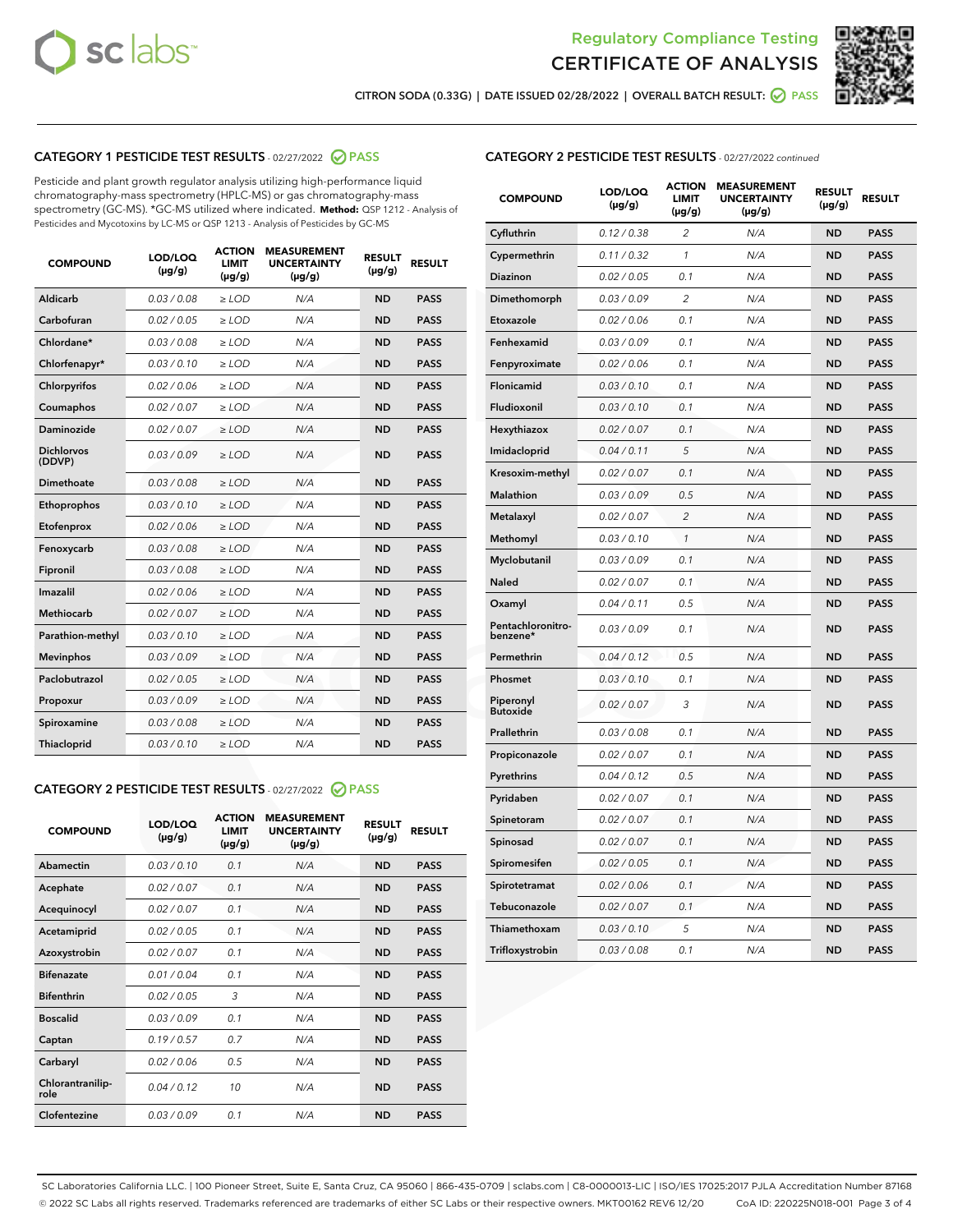



CITRON SODA (0.33G) | DATE ISSUED 02/28/2022 | OVERALL BATCH RESULT: @ PASS

# CATEGORY 1 PESTICIDE TEST RESULTS - 02/27/2022 2 PASS

Pesticide and plant growth regulator analysis utilizing high-performance liquid chromatography-mass spectrometry (HPLC-MS) or gas chromatography-mass spectrometry (GC-MS). \*GC-MS utilized where indicated. **Method:** QSP 1212 - Analysis of Pesticides and Mycotoxins by LC-MS or QSP 1213 - Analysis of Pesticides by GC-MS

| <b>COMPOUND</b>             | LOD/LOQ<br>$(\mu g/g)$ | <b>ACTION</b><br><b>LIMIT</b><br>$(\mu g/g)$ | <b>MEASUREMENT</b><br><b>UNCERTAINTY</b><br>$(\mu g/g)$ | <b>RESULT</b><br>$(\mu g/g)$ | <b>RESULT</b> |
|-----------------------------|------------------------|----------------------------------------------|---------------------------------------------------------|------------------------------|---------------|
| Aldicarb                    | 0.03 / 0.08            | $\ge$ LOD                                    | N/A                                                     | <b>ND</b>                    | <b>PASS</b>   |
| Carbofuran                  | 0.02 / 0.05            | $\ge$ LOD                                    | N/A                                                     | <b>ND</b>                    | <b>PASS</b>   |
| Chlordane*                  | 0.03 / 0.08            | $\ge$ LOD                                    | N/A                                                     | <b>ND</b>                    | <b>PASS</b>   |
| Chlorfenapyr*               | 0.03/0.10              | $\ge$ LOD                                    | N/A                                                     | <b>ND</b>                    | <b>PASS</b>   |
| Chlorpyrifos                | 0.02/0.06              | $\ge$ LOD                                    | N/A                                                     | <b>ND</b>                    | <b>PASS</b>   |
| Coumaphos                   | 0.02 / 0.07            | $\geq$ LOD                                   | N/A                                                     | <b>ND</b>                    | <b>PASS</b>   |
| Daminozide                  | 0.02 / 0.07            | $>$ LOD                                      | N/A                                                     | <b>ND</b>                    | <b>PASS</b>   |
| <b>Dichlorvos</b><br>(DDVP) | 0.03/0.09              | $\ge$ LOD                                    | N/A                                                     | <b>ND</b>                    | <b>PASS</b>   |
| Dimethoate                  | 0.03/0.08              | $>$ LOD                                      | N/A                                                     | <b>ND</b>                    | <b>PASS</b>   |
| Ethoprophos                 | 0.03/0.10              | $\ge$ LOD                                    | N/A                                                     | <b>ND</b>                    | <b>PASS</b>   |
| Etofenprox                  | 0.02 / 0.06            | $\geq$ LOD                                   | N/A                                                     | <b>ND</b>                    | <b>PASS</b>   |
| Fenoxycarb                  | 0.03/0.08              | $>$ LOD                                      | N/A                                                     | <b>ND</b>                    | <b>PASS</b>   |
| Fipronil                    | 0.03 / 0.08            | $\ge$ LOD                                    | N/A                                                     | <b>ND</b>                    | <b>PASS</b>   |
| Imazalil                    | 0.02 / 0.06            | $>$ LOD                                      | N/A                                                     | <b>ND</b>                    | <b>PASS</b>   |
| <b>Methiocarb</b>           | 0.02 / 0.07            | $\ge$ LOD                                    | N/A                                                     | <b>ND</b>                    | <b>PASS</b>   |
| Parathion-methyl            | 0.03/0.10              | $\geq$ LOD                                   | N/A                                                     | <b>ND</b>                    | <b>PASS</b>   |
| <b>Mevinphos</b>            | 0.03/0.09              | $\ge$ LOD                                    | N/A                                                     | <b>ND</b>                    | <b>PASS</b>   |
| Paclobutrazol               | 0.02 / 0.05            | $\ge$ LOD                                    | N/A                                                     | <b>ND</b>                    | <b>PASS</b>   |
| Propoxur                    | 0.03/0.09              | $\ge$ LOD                                    | N/A                                                     | <b>ND</b>                    | <b>PASS</b>   |
| Spiroxamine                 | 0.03 / 0.08            | $\ge$ LOD                                    | N/A                                                     | <b>ND</b>                    | <b>PASS</b>   |
| Thiacloprid                 | 0.03/0.10              | $>$ LOD                                      | N/A                                                     | <b>ND</b>                    | <b>PASS</b>   |

### CATEGORY 2 PESTICIDE TEST RESULTS - 02/27/2022 @ PASS

| <b>COMPOUND</b>          | LOD/LOQ<br>$(\mu g/g)$ | <b>ACTION</b><br><b>LIMIT</b><br>$(\mu g/g)$ | <b>MEASUREMENT</b><br><b>UNCERTAINTY</b><br>$(\mu g/g)$ | <b>RESULT</b><br>$(\mu g/g)$ | <b>RESULT</b> |
|--------------------------|------------------------|----------------------------------------------|---------------------------------------------------------|------------------------------|---------------|
| Abamectin                | 0.03/0.10              | 0.1                                          | N/A                                                     | <b>ND</b>                    | <b>PASS</b>   |
| Acephate                 | 0.02/0.07              | 0.1                                          | N/A                                                     | <b>ND</b>                    | <b>PASS</b>   |
| Acequinocyl              | 0.02/0.07              | 0.1                                          | N/A                                                     | <b>ND</b>                    | <b>PASS</b>   |
| Acetamiprid              | 0.02/0.05              | 0.1                                          | N/A                                                     | <b>ND</b>                    | <b>PASS</b>   |
| Azoxystrobin             | 0.02 / 0.07            | 0.1                                          | N/A                                                     | <b>ND</b>                    | <b>PASS</b>   |
| <b>Bifenazate</b>        | 0.01/0.04              | 0.1                                          | N/A                                                     | <b>ND</b>                    | <b>PASS</b>   |
| <b>Bifenthrin</b>        | 0.02/0.05              | 3                                            | N/A                                                     | <b>ND</b>                    | <b>PASS</b>   |
| <b>Boscalid</b>          | 0.03/0.09              | 0.1                                          | N/A                                                     | <b>ND</b>                    | <b>PASS</b>   |
| Captan                   | 0.19/0.57              | 0.7                                          | N/A                                                     | <b>ND</b>                    | <b>PASS</b>   |
| Carbaryl                 | 0.02/0.06              | 0.5                                          | N/A                                                     | <b>ND</b>                    | <b>PASS</b>   |
| Chlorantranilip-<br>role | 0.04/0.12              | 10                                           | N/A                                                     | <b>ND</b>                    | <b>PASS</b>   |
| Clofentezine             | 0.03/0.09              | 0.1                                          | N/A                                                     | <b>ND</b>                    | <b>PASS</b>   |

#### CATEGORY 2 PESTICIDE TEST RESULTS - 02/27/2022 continued

| <b>COMPOUND</b>               | LOD/LOQ<br>(µg/g) | <b>ACTION</b><br><b>LIMIT</b><br>$(\mu g/g)$ | <b>MEASUREMENT</b><br><b>UNCERTAINTY</b><br>$(\mu g/g)$ | <b>RESULT</b><br>(µg/g) | <b>RESULT</b> |
|-------------------------------|-------------------|----------------------------------------------|---------------------------------------------------------|-------------------------|---------------|
| Cyfluthrin                    | 0.12 / 0.38       | $\overline{c}$                               | N/A                                                     | <b>ND</b>               | <b>PASS</b>   |
| Cypermethrin                  | 0.11 / 0.32       | 1                                            | N/A                                                     | <b>ND</b>               | <b>PASS</b>   |
| <b>Diazinon</b>               | 0.02 / 0.05       | 0.1                                          | N/A                                                     | <b>ND</b>               | <b>PASS</b>   |
| Dimethomorph                  | 0.03 / 0.09       | 2                                            | N/A                                                     | <b>ND</b>               | <b>PASS</b>   |
| Etoxazole                     | 0.02 / 0.06       | 0.1                                          | N/A                                                     | <b>ND</b>               | <b>PASS</b>   |
| Fenhexamid                    | 0.03 / 0.09       | 0.1                                          | N/A                                                     | <b>ND</b>               | <b>PASS</b>   |
| Fenpyroximate                 | 0.02 / 0.06       | 0.1                                          | N/A                                                     | <b>ND</b>               | <b>PASS</b>   |
| Flonicamid                    | 0.03 / 0.10       | 0.1                                          | N/A                                                     | <b>ND</b>               | <b>PASS</b>   |
| Fludioxonil                   | 0.03 / 0.10       | 0.1                                          | N/A                                                     | <b>ND</b>               | <b>PASS</b>   |
| Hexythiazox                   | 0.02 / 0.07       | 0.1                                          | N/A                                                     | <b>ND</b>               | <b>PASS</b>   |
| Imidacloprid                  | 0.04 / 0.11       | 5                                            | N/A                                                     | <b>ND</b>               | <b>PASS</b>   |
| Kresoxim-methyl               | 0.02 / 0.07       | 0.1                                          | N/A                                                     | <b>ND</b>               | <b>PASS</b>   |
| <b>Malathion</b>              | 0.03 / 0.09       | 0.5                                          | N/A                                                     | <b>ND</b>               | <b>PASS</b>   |
| Metalaxyl                     | 0.02 / 0.07       | $\overline{c}$                               | N/A                                                     | <b>ND</b>               | <b>PASS</b>   |
| Methomyl                      | 0.03 / 0.10       | 1                                            | N/A                                                     | <b>ND</b>               | <b>PASS</b>   |
| Myclobutanil                  | 0.03 / 0.09       | 0.1                                          | N/A                                                     | <b>ND</b>               | <b>PASS</b>   |
| Naled                         | 0.02 / 0.07       | 0.1                                          | N/A                                                     | <b>ND</b>               | <b>PASS</b>   |
| Oxamyl                        | 0.04 / 0.11       | 0.5                                          | N/A                                                     | <b>ND</b>               | <b>PASS</b>   |
| Pentachloronitro-<br>benzene* | 0.03/0.09         | 0.1                                          | N/A                                                     | <b>ND</b>               | <b>PASS</b>   |
| Permethrin                    | 0.04 / 0.12       | 0.5                                          | N/A                                                     | <b>ND</b>               | <b>PASS</b>   |
| Phosmet                       | 0.03 / 0.10       | 0.1                                          | N/A                                                     | <b>ND</b>               | <b>PASS</b>   |
| Piperonyl<br><b>Butoxide</b>  | 0.02 / 0.07       | 3                                            | N/A                                                     | <b>ND</b>               | <b>PASS</b>   |
| Prallethrin                   | 0.03 / 0.08       | 0.1                                          | N/A                                                     | <b>ND</b>               | <b>PASS</b>   |
| Propiconazole                 | 0.02 / 0.07       | 0.1                                          | N/A                                                     | <b>ND</b>               | <b>PASS</b>   |
| Pyrethrins                    | 0.04 / 0.12       | 0.5                                          | N/A                                                     | <b>ND</b>               | <b>PASS</b>   |
| Pyridaben                     | 0.02 / 0.07       | 0.1                                          | N/A                                                     | <b>ND</b>               | <b>PASS</b>   |
| Spinetoram                    | 0.02 / 0.07       | 0.1                                          | N/A                                                     | <b>ND</b>               | <b>PASS</b>   |
| Spinosad                      | 0.02 / 0.07       | 0.1                                          | N/A                                                     | <b>ND</b>               | <b>PASS</b>   |
| Spiromesifen                  | 0.02 / 0.05       | 0.1                                          | N/A                                                     | <b>ND</b>               | <b>PASS</b>   |
| Spirotetramat                 | 0.02 / 0.06       | 0.1                                          | N/A                                                     | <b>ND</b>               | <b>PASS</b>   |
| Tebuconazole                  | 0.02 / 0.07       | 0.1                                          | N/A                                                     | <b>ND</b>               | <b>PASS</b>   |
| Thiamethoxam                  | 0.03 / 0.10       | 5                                            | N/A                                                     | <b>ND</b>               | <b>PASS</b>   |
| Trifloxystrobin               | 0.03 / 0.08       | 0.1                                          | N/A                                                     | <b>ND</b>               | <b>PASS</b>   |

SC Laboratories California LLC. | 100 Pioneer Street, Suite E, Santa Cruz, CA 95060 | 866-435-0709 | sclabs.com | C8-0000013-LIC | ISO/IES 17025:2017 PJLA Accreditation Number 87168 © 2022 SC Labs all rights reserved. Trademarks referenced are trademarks of either SC Labs or their respective owners. MKT00162 REV6 12/20 CoA ID: 220225N018-001 Page 3 of 4